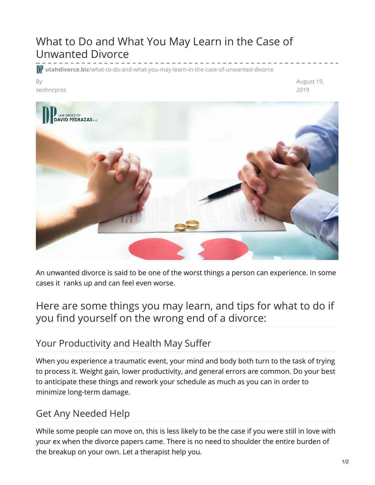# What to Do and What You May Learn in the Case of Unwanted Divorce

**utahdivorce.biz**[/what-to-do-and-what-you-may-learn-in-the-case-of-unwanted-divorce](https://utahdivorce.biz/what-to-do-and-what-you-may-learn-in-the-case-of-unwanted-divorce/)

#### By seohnrpros

August 19, 2019



An unwanted divorce is said to be one of the worst things a person can experience. In some cases it ranks up and can feel even worse.

# Here are some things you may learn, and tips for what to do if you find yourself on the wrong end of a divorce:

#### Your Productivity and Health May Suffer

When you experience a traumatic event, your mind and body both turn to the task of trying to process it. Weight gain, lower productivity, and general errors are common. Do your best to anticipate these things and rework your schedule as much as you can in order to minimize long-term damage.

### Get Any Needed Help

While some people can move on, this is less likely to be the case if you were still in love with your ex when the divorce papers came. There is no need to shoulder the entire burden of the breakup on your own. Let a therapist help you.